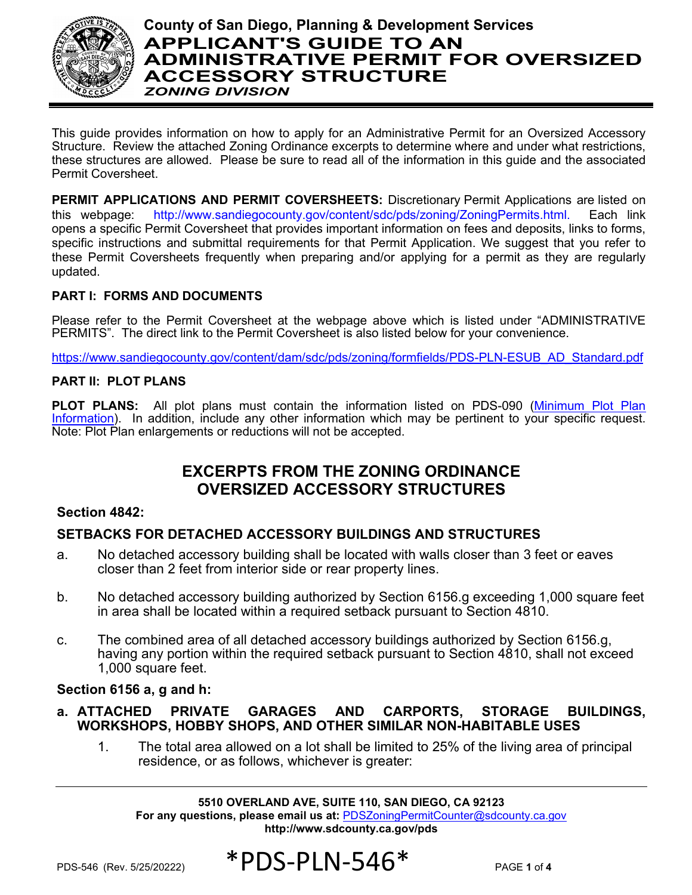

# **County of San Diego, Planning & Development Services APPLICANT'S GUIDE TO AN ADMINISTRATIVE PERMIT FOR OVERSIZED ACCESSORY STRUCTURE** *ZONING DIVISION*

This guide provides information on how to apply for an Administrative Permit for an Oversized Accessory Structure. Review the attached Zoning Ordinance excerpts to determine where and under what restrictions, these structures are allowed. Please be sure to read all of the information in this guide and the associated Permit Coversheet.

**PERMIT APPLICATIONS AND PERMIT COVERSHEETS:** Discretionary Permit Applications are listed on this webpage: [http://www.sandiegocounty.gov/content/sdc/pds/zoning/ZoningPermits.html.](http://www.sandiegocounty.gov/content/sdc/pds/zoning/ZoningPermits.html) Each link opens a specific Permit Coversheet that provides important information on fees and deposits, links to forms, specific instructions and submittal requirements for that Permit Application. We suggest that you refer to these Permit Coversheets frequently when preparing and/or applying for a permit as they are regularly updated.

# **PART I: FORMS AND DOCUMENTS**

Please refer to the Permit Coversheet at the webpage above which is listed under "ADMINISTRATIVE PERMITS". The direct link to the Permit Coversheet is also listed below for your convenience.

[https://www.sandiegocounty.gov/content/dam/sdc/pds/zoning/formfields/PDS-PLN-ESUB\\_AD\\_Standard.pdf](https://www.sandiegocounty.gov/content/dam/sdc/pds/zoning/formfields/PDS-PLN-ESUB_AD_Standard.pdf)

#### **PART II: PLOT PLANS**

**PLOT PLANS:** All plot plans must contain the information listed on PDS-090 (Minimum [Plot Plan](https://www.sandiegocounty.gov/content/dam/sdc/pds/docs/pds090.pdf) [Information\)](https://www.sandiegocounty.gov/content/dam/sdc/pds/docs/pds090.pdf). In addition, include any other information which may be pertinent to your specific request. Note: Plot Plan enlargements or reductions will not be accepted.

# **EXCERPTS FROM THE ZONING ORDINANCE OVERSIZED ACCESSORY STRUCTURES**

# **Section 4842:**

# **SETBACKS FOR DETACHED ACCESSORY BUILDINGS AND STRUCTURES**

- a. No detached accessory building shall be located with walls closer than 3 feet or eaves closer than 2 feet from interior side or rear property lines.
- b. No detached accessory building authorized by Section 6156.g exceeding 1,000 square feet in area shall be located within a required setback pursuant to Section 4810.
- c. The combined area of all detached accessory buildings authorized by Section 6156.g, having any portion within the required setback pursuant to Section 4810, shall not exceed 1,000 square feet.

#### **Section 6156 a, g and h:**

- **a. ATTACHED PRIVATE GARAGES AND CARPORTS, STORAGE BUILDINGS, WORKSHOPS, HOBBY SHOPS, AND OTHER SIMILAR NON-HABITABLE USES**
	- 1. The total area allowed on a lot shall be limited to 25% of the living area of principal residence, or as follows, whichever is greater:

**5510 OVERLAND AVE, SUITE 110, SAN DIEGO, CA 92123 For any questions, please email us at:** [PDSZoningPermitCounter@sdcounty.ca.gov](mailto:PDSZoningPermitCounter@sdcounty.ca.gov) **<http://www.sdcounty.ca.gov/pds>**

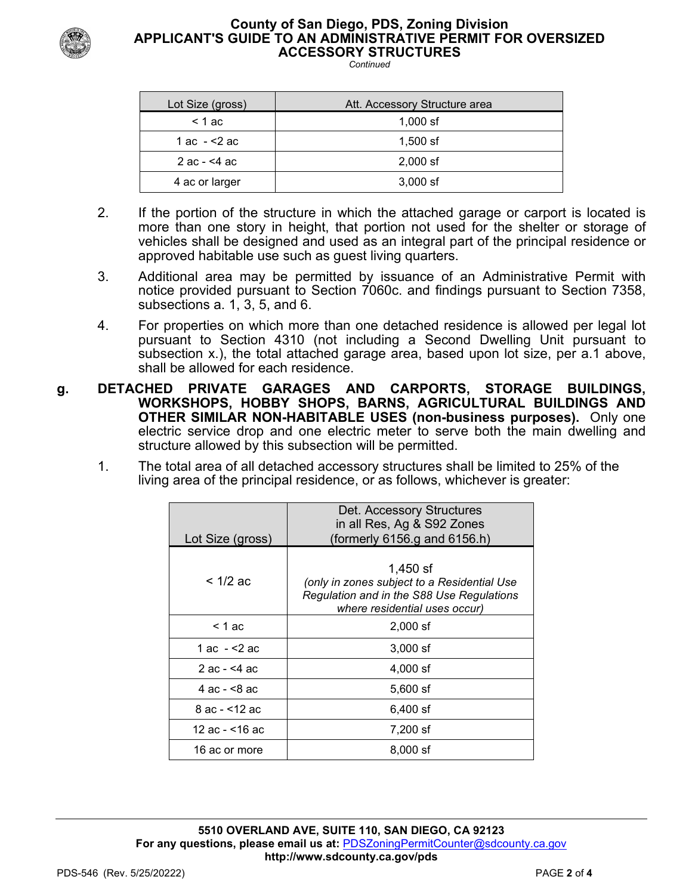

#### **County of San Diego, PDS, Zoning Division APPLICANT'S GUIDE TO AN ADMINISTRATIVE PERMIT FOR OVERSIZED ACCESSORY STRUCTURES**

*Continued*

| Lot Size (gross) | Att. Accessory Structure area |
|------------------|-------------------------------|
| $<$ 1 ac         | $1,000$ sf                    |
| 1 ac - <2 ac     | $1,500$ sf                    |
| 2 ac - $<$ 4 ac  | $2,000$ sf                    |
| 4 ac or larger   | $3,000$ sf                    |

- 2. If the portion of the structure in which the attached garage or carport is located is more than one story in height, that portion not used for the shelter or storage of vehicles shall be designed and used as an integral part of the principal residence or approved habitable use such as guest living quarters.
- 3. Additional area may be permitted by issuance of an Administrative Permit with notice provided pursuant to Section 7060c. and findings pursuant to Section 7358, subsections a. 1, 3, 5, and 6.
- 4. For properties on which more than one detached residence is allowed per legal lot pursuant to Section 4310 (not including a Second Dwelling Unit pursuant to subsection x.), the total attached garage area, based upon lot size, per a.1 above, shall be allowed for each residence.
- **g. DETACHED PRIVATE GARAGES AND CARPORTS, STORAGE BUILDINGS, WORKSHOPS, HOBBY SHOPS, BARNS, AGRICULTURAL BUILDINGS AND OTHER SIMILAR NON-HABITABLE USES (non-business purposes).** Only one electric service drop and one electric meter to serve both the main dwelling and structure allowed by this subsection will be permitted.
	- 1. The total area of all detached accessory structures shall be limited to 25% of the living area of the principal residence, or as follows, whichever is greater:

| Lot Size (gross) | Det. Accessory Structures<br>in all Res, Ag & S92 Zones<br>(formerly $6156$ .g and $6156$ .h)                                           |
|------------------|-----------------------------------------------------------------------------------------------------------------------------------------|
| < 1/2 ac         | 1,450 $sf$<br>(only in zones subject to a Residential Use<br>Regulation and in the S88 Use Regulations<br>where residential uses occur) |
| $< 1$ ac         | $2,000$ sf                                                                                                                              |
| 1 ac - <2 ac     | $3,000$ sf                                                                                                                              |
| 2 ac - $<$ 4 ac  | $4,000$ sf                                                                                                                              |
| 4 ac - $< 8$ ac  | $5,600$ sf                                                                                                                              |
| 8 ac - <12 ac    | 6,400 sf                                                                                                                                |
| 12 ac - <16 ac   | 7,200 sf                                                                                                                                |
| 16 ac or more    | $8,000$ sf                                                                                                                              |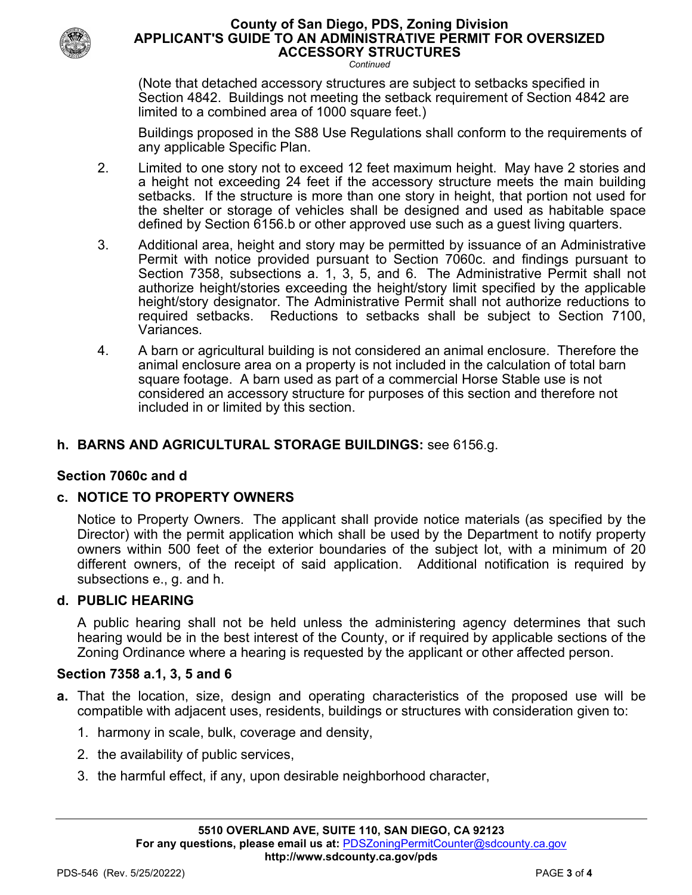

#### **County of San Diego, PDS, Zoning Division APPLICANT'S GUIDE TO AN ADMINISTRATIVE PERMIT FOR OVERSIZED ACCESSORY STRUCTURES**

*Continued*

(Note that detached accessory structures are subject to setbacks specified in Section 4842. Buildings not meeting the setback requirement of Section 4842 are limited to a combined area of 1000 square feet.)

Buildings proposed in the S88 Use Regulations shall conform to the requirements of any applicable Specific Plan.

- 2. Limited to one story not to exceed 12 feet maximum height. May have 2 stories and a height not exceeding 24 feet if the accessory structure meets the main building setbacks. If the structure is more than one story in height, that portion not used for the shelter or storage of vehicles shall be designed and used as habitable space defined by Section 6156.b or other approved use such as a guest living quarters.
- 3. Additional area, height and story may be permitted by issuance of an Administrative Permit with notice provided pursuant to Section 7060c. and findings pursuant to Section 7358, subsections a. 1, 3, 5, and 6. The Administrative Permit shall not authorize height/stories exceeding the height/story limit specified by the applicable height/story designator. The Administrative Permit shall not authorize reductions to required setbacks. Reductions to setbacks shall be subject to Section 7100, Variances.
- 4. A barn or agricultural building is not considered an animal enclosure. Therefore the animal enclosure area on a property is not included in the calculation of total barn square footage. A barn used as part of a commercial Horse Stable use is not considered an accessory structure for purposes of this section and therefore not included in or limited by this section.

# **h. BARNS AND AGRICULTURAL STORAGE BUILDINGS:** see 6156.g.

# **Section 7060c and d**

# **c. NOTICE TO PROPERTY OWNERS**

Notice to Property Owners. The applicant shall provide notice materials (as specified by the Director) with the permit application which shall be used by the Department to notify property owners within 500 feet of the exterior boundaries of the subject lot, with a minimum of 20 different owners, of the receipt of said application. Additional notification is required by subsections e., g. and h.

#### **d. PUBLIC HEARING**

A public hearing shall not be held unless the administering agency determines that such hearing would be in the best interest of the County, or if required by applicable sections of the Zoning Ordinance where a hearing is requested by the applicant or other affected person.

#### **Section 7358 a.1, 3, 5 and 6**

- **a.** That the location, size, design and operating characteristics of the proposed use will be compatible with adjacent uses, residents, buildings or structures with consideration given to:
	- 1. harmony in scale, bulk, coverage and density,
	- 2. the availability of public services,
	- 3. the harmful effect, if any, upon desirable neighborhood character,